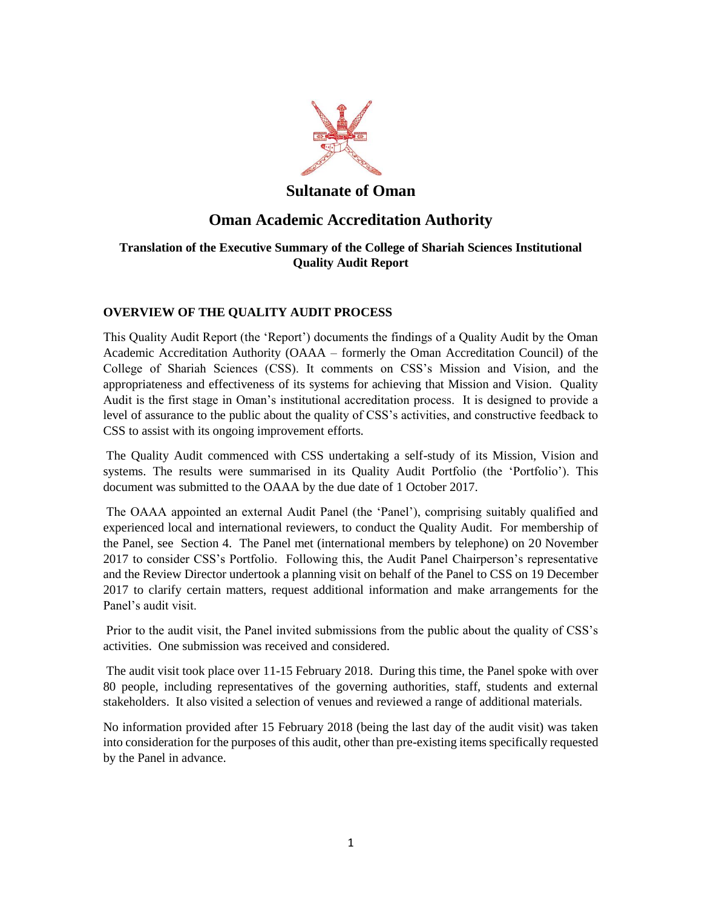

## **Sultanate of Oman**

# **Oman Academic Accreditation Authority**

## **Translation of the Executive Summary of the College of Shariah Sciences Institutional Quality Audit Report**

### **OVERVIEW OF THE QUALITY AUDIT PROCESS**

This Quality Audit Report (the 'Report') documents the findings of a Quality Audit by the Oman Academic Accreditation Authority (OAAA – formerly the Oman Accreditation Council) of the College of Shariah Sciences (CSS). It comments on CSS's Mission and Vision, and the appropriateness and effectiveness of its systems for achieving that Mission and Vision. Quality Audit is the first stage in Oman's institutional accreditation process. It is designed to provide a level of assurance to the public about the quality of CSS's activities, and constructive feedback to CSS to assist with its ongoing improvement efforts.

The Quality Audit commenced with CSS undertaking a self-study of its Mission, Vision and systems. The results were summarised in its Quality Audit Portfolio (the 'Portfolio'). This document was submitted to the OAAA by the due date of 1 October 2017.

The OAAA appointed an external Audit Panel (the 'Panel'), comprising suitably qualified and experienced local and international reviewers, to conduct the Quality Audit. For membership of the Panel, see Section 4. The Panel met (international members by telephone) on 20 November 2017 to consider CSS's Portfolio. Following this, the Audit Panel Chairperson's representative and the Review Director undertook a planning visit on behalf of the Panel to CSS on 19 December 2017 to clarify certain matters, request additional information and make arrangements for the Panel's audit visit.

Prior to the audit visit, the Panel invited submissions from the public about the quality of CSS's activities. One submission was received and considered.

The audit visit took place over 11-15 February 2018. During this time, the Panel spoke with over 80 people, including representatives of the governing authorities, staff, students and external stakeholders. It also visited a selection of venues and reviewed a range of additional materials.

No information provided after 15 February 2018 (being the last day of the audit visit) was taken into consideration for the purposes of this audit, other than pre-existing items specifically requested by the Panel in advance.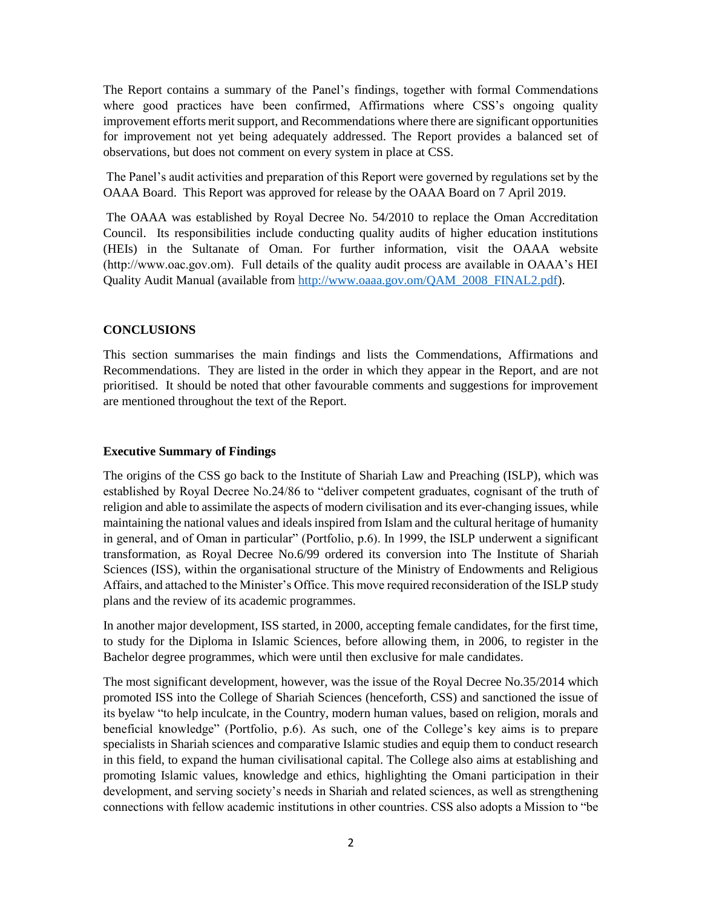The Report contains a summary of the Panel's findings, together with formal Commendations where good practices have been confirmed, Affirmations where CSS's ongoing quality improvement efforts merit support, and Recommendations where there are significant opportunities for improvement not yet being adequately addressed. The Report provides a balanced set of observations, but does not comment on every system in place at CSS.

The Panel's audit activities and preparation of this Report were governed by regulations set by the OAAA Board. This Report was approved for release by the OAAA Board on 7 April 2019.

The OAAA was established by Royal Decree No. 54/2010 to replace the Oman Accreditation Council. Its responsibilities include conducting quality audits of higher education institutions (HEIs) in the Sultanate of Oman. For further information, visit the OAAA website (http://www.oac.gov.om). Full details of the quality audit process are available in OAAA's HEI Quality Audit Manual (available from [http://www.oaaa.gov.om/QAM\\_2008\\_FINAL2.pdf\)](http://www.oaaa.gov.om/QAM_2008_FINAL2.pdf).

#### **CONCLUSIONS**

This section summarises the main findings and lists the Commendations, Affirmations and Recommendations. They are listed in the order in which they appear in the Report, and are not prioritised. It should be noted that other favourable comments and suggestions for improvement are mentioned throughout the text of the Report.

#### **Executive Summary of Findings**

The origins of the CSS go back to the Institute of Shariah Law and Preaching (ISLP), which was established by Royal Decree No.24/86 to "deliver competent graduates, cognisant of the truth of religion and able to assimilate the aspects of modern civilisation and its ever-changing issues, while maintaining the national values and ideals inspired from Islam and the cultural heritage of humanity in general, and of Oman in particular" (Portfolio, p.6). In 1999, the ISLP underwent a significant transformation, as Royal Decree No.6/99 ordered its conversion into The Institute of Shariah Sciences (ISS), within the organisational structure of the Ministry of Endowments and Religious Affairs, and attached to the Minister's Office. This move required reconsideration of the ISLP study plans and the review of its academic programmes.

In another major development, ISS started, in 2000, accepting female candidates, for the first time, to study for the Diploma in Islamic Sciences, before allowing them, in 2006, to register in the Bachelor degree programmes, which were until then exclusive for male candidates.

The most significant development, however, was the issue of the Royal Decree No.35/2014 which promoted ISS into the College of Shariah Sciences (henceforth, CSS) and sanctioned the issue of its byelaw "to help inculcate, in the Country, modern human values, based on religion, morals and beneficial knowledge" (Portfolio, p.6). As such, one of the College's key aims is to prepare specialists in Shariah sciences and comparative Islamic studies and equip them to conduct research in this field, to expand the human civilisational capital. The College also aims at establishing and promoting Islamic values, knowledge and ethics, highlighting the Omani participation in their development, and serving society's needs in Shariah and related sciences, as well as strengthening connections with fellow academic institutions in other countries. CSS also adopts a Mission to "be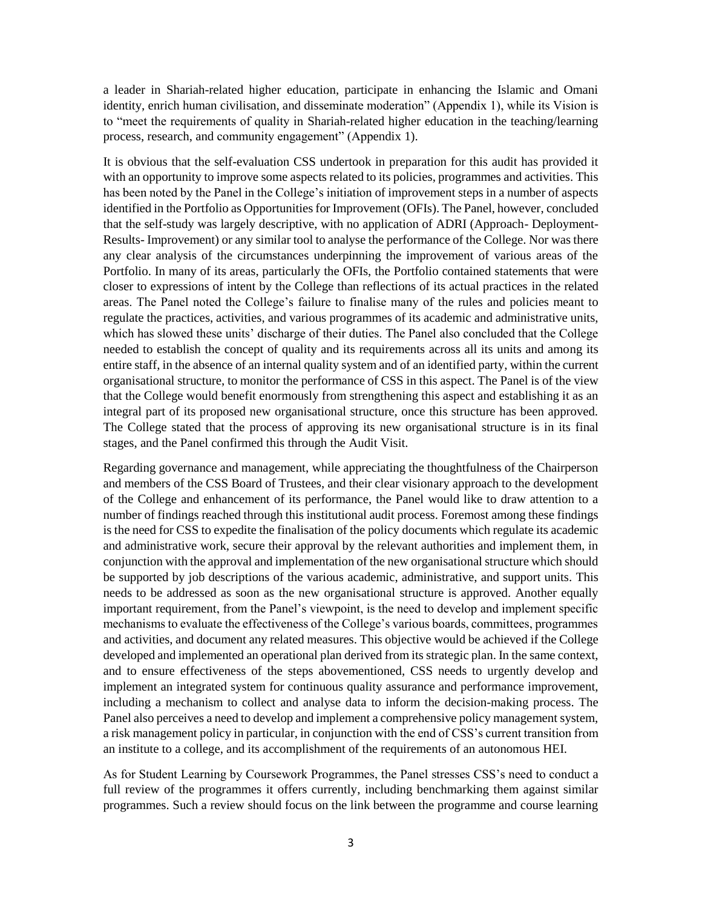a leader in Shariah-related higher education, participate in enhancing the Islamic and Omani identity, enrich human civilisation, and disseminate moderation" (Appendix 1), while its Vision is to "meet the requirements of quality in Shariah-related higher education in the teaching/learning process, research, and community engagement" (Appendix 1).

It is obvious that the self-evaluation CSS undertook in preparation for this audit has provided it with an opportunity to improve some aspects related to its policies, programmes and activities. This has been noted by the Panel in the College's initiation of improvement steps in a number of aspects identified in the Portfolio as Opportunities for Improvement (OFIs). The Panel, however, concluded that the self-study was largely descriptive, with no application of ADRI (Approach- Deployment-Results- Improvement) or any similar tool to analyse the performance of the College. Nor was there any clear analysis of the circumstances underpinning the improvement of various areas of the Portfolio. In many of its areas, particularly the OFIs, the Portfolio contained statements that were closer to expressions of intent by the College than reflections of its actual practices in the related areas. The Panel noted the College's failure to finalise many of the rules and policies meant to regulate the practices, activities, and various programmes of its academic and administrative units, which has slowed these units' discharge of their duties. The Panel also concluded that the College needed to establish the concept of quality and its requirements across all its units and among its entire staff, in the absence of an internal quality system and of an identified party, within the current organisational structure, to monitor the performance of CSS in this aspect. The Panel is of the view that the College would benefit enormously from strengthening this aspect and establishing it as an integral part of its proposed new organisational structure, once this structure has been approved. The College stated that the process of approving its new organisational structure is in its final stages, and the Panel confirmed this through the Audit Visit.

Regarding governance and management, while appreciating the thoughtfulness of the Chairperson and members of the CSS Board of Trustees, and their clear visionary approach to the development of the College and enhancement of its performance, the Panel would like to draw attention to a number of findings reached through this institutional audit process. Foremost among these findings is the need for CSS to expedite the finalisation of the policy documents which regulate its academic and administrative work, secure their approval by the relevant authorities and implement them, in conjunction with the approval and implementation of the new organisational structure which should be supported by job descriptions of the various academic, administrative, and support units. This needs to be addressed as soon as the new organisational structure is approved. Another equally important requirement, from the Panel's viewpoint, is the need to develop and implement specific mechanisms to evaluate the effectiveness of the College's various boards, committees, programmes and activities, and document any related measures. This objective would be achieved if the College developed and implemented an operational plan derived from its strategic plan. In the same context, and to ensure effectiveness of the steps abovementioned, CSS needs to urgently develop and implement an integrated system for continuous quality assurance and performance improvement, including a mechanism to collect and analyse data to inform the decision-making process. The Panel also perceives a need to develop and implement a comprehensive policy management system, a risk management policy in particular, in conjunction with the end of CSS's current transition from an institute to a college, and its accomplishment of the requirements of an autonomous HEI.

As for Student Learning by Coursework Programmes, the Panel stresses CSS's need to conduct a full review of the programmes it offers currently, including benchmarking them against similar programmes. Such a review should focus on the link between the programme and course learning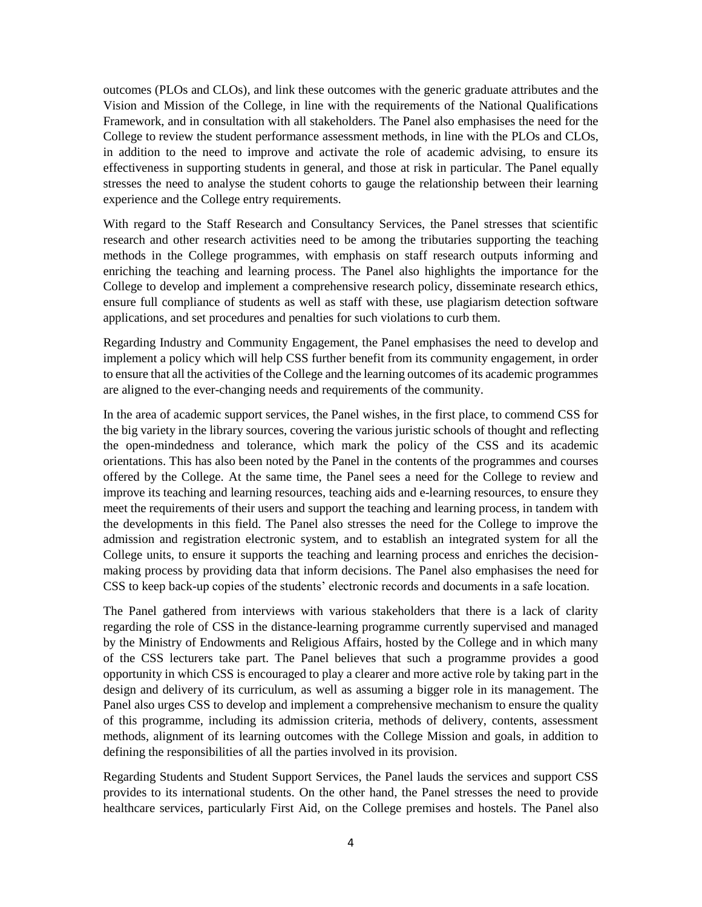outcomes (PLOs and CLOs), and link these outcomes with the generic graduate attributes and the Vision and Mission of the College, in line with the requirements of the National Qualifications Framework, and in consultation with all stakeholders. The Panel also emphasises the need for the College to review the student performance assessment methods, in line with the PLOs and CLOs, in addition to the need to improve and activate the role of academic advising, to ensure its effectiveness in supporting students in general, and those at risk in particular. The Panel equally stresses the need to analyse the student cohorts to gauge the relationship between their learning experience and the College entry requirements.

With regard to the Staff Research and Consultancy Services, the Panel stresses that scientific research and other research activities need to be among the tributaries supporting the teaching methods in the College programmes, with emphasis on staff research outputs informing and enriching the teaching and learning process. The Panel also highlights the importance for the College to develop and implement a comprehensive research policy, disseminate research ethics, ensure full compliance of students as well as staff with these, use plagiarism detection software applications, and set procedures and penalties for such violations to curb them.

Regarding Industry and Community Engagement, the Panel emphasises the need to develop and implement a policy which will help CSS further benefit from its community engagement, in order to ensure that all the activities of the College and the learning outcomes of its academic programmes are aligned to the ever-changing needs and requirements of the community.

In the area of academic support services, the Panel wishes, in the first place, to commend CSS for the big variety in the library sources, covering the various juristic schools of thought and reflecting the open-mindedness and tolerance, which mark the policy of the CSS and its academic orientations. This has also been noted by the Panel in the contents of the programmes and courses offered by the College. At the same time, the Panel sees a need for the College to review and improve its teaching and learning resources, teaching aids and e-learning resources, to ensure they meet the requirements of their users and support the teaching and learning process, in tandem with the developments in this field. The Panel also stresses the need for the College to improve the admission and registration electronic system, and to establish an integrated system for all the College units, to ensure it supports the teaching and learning process and enriches the decisionmaking process by providing data that inform decisions. The Panel also emphasises the need for CSS to keep back-up copies of the students' electronic records and documents in a safe location.

The Panel gathered from interviews with various stakeholders that there is a lack of clarity regarding the role of CSS in the distance-learning programme currently supervised and managed by the Ministry of Endowments and Religious Affairs, hosted by the College and in which many of the CSS lecturers take part. The Panel believes that such a programme provides a good opportunity in which CSS is encouraged to play a clearer and more active role by taking part in the design and delivery of its curriculum, as well as assuming a bigger role in its management. The Panel also urges CSS to develop and implement a comprehensive mechanism to ensure the quality of this programme, including its admission criteria, methods of delivery, contents, assessment methods, alignment of its learning outcomes with the College Mission and goals, in addition to defining the responsibilities of all the parties involved in its provision.

Regarding Students and Student Support Services, the Panel lauds the services and support CSS provides to its international students. On the other hand, the Panel stresses the need to provide healthcare services, particularly First Aid, on the College premises and hostels. The Panel also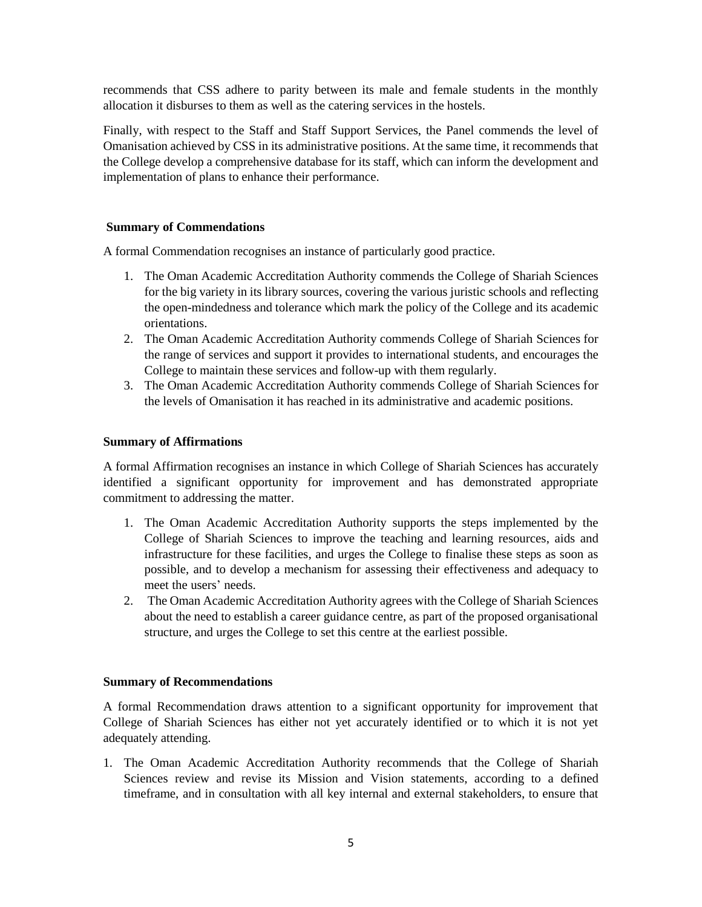recommends that CSS adhere to parity between its male and female students in the monthly allocation it disburses to them as well as the catering services in the hostels.

Finally, with respect to the Staff and Staff Support Services, the Panel commends the level of Omanisation achieved by CSS in its administrative positions. At the same time, it recommends that the College develop a comprehensive database for its staff, which can inform the development and implementation of plans to enhance their performance.

#### **Summary of Commendations**

A formal Commendation recognises an instance of particularly good practice.

- 1. The Oman Academic Accreditation Authority commends the College of Shariah Sciences for the big variety in its library sources, covering the various juristic schools and reflecting the open-mindedness and tolerance which mark the policy of the College and its academic orientations.
- 2. The Oman Academic Accreditation Authority commends College of Shariah Sciences for the range of services and support it provides to international students, and encourages the College to maintain these services and follow-up with them regularly.
- 3. The Oman Academic Accreditation Authority commends College of Shariah Sciences for the levels of Omanisation it has reached in its administrative and academic positions.

#### **Summary of Affirmations**

A formal Affirmation recognises an instance in which College of Shariah Sciences has accurately identified a significant opportunity for improvement and has demonstrated appropriate commitment to addressing the matter.

- 1. The Oman Academic Accreditation Authority supports the steps implemented by the College of Shariah Sciences to improve the teaching and learning resources, aids and infrastructure for these facilities, and urges the College to finalise these steps as soon as possible, and to develop a mechanism for assessing their effectiveness and adequacy to meet the users' needs.
- 2. The Oman Academic Accreditation Authority agrees with the College of Shariah Sciences about the need to establish a career guidance centre, as part of the proposed organisational structure, and urges the College to set this centre at the earliest possible.

#### **Summary of Recommendations**

A formal Recommendation draws attention to a significant opportunity for improvement that College of Shariah Sciences has either not yet accurately identified or to which it is not yet adequately attending.

1. The Oman Academic Accreditation Authority recommends that the College of Shariah Sciences review and revise its Mission and Vision statements, according to a defined timeframe, and in consultation with all key internal and external stakeholders, to ensure that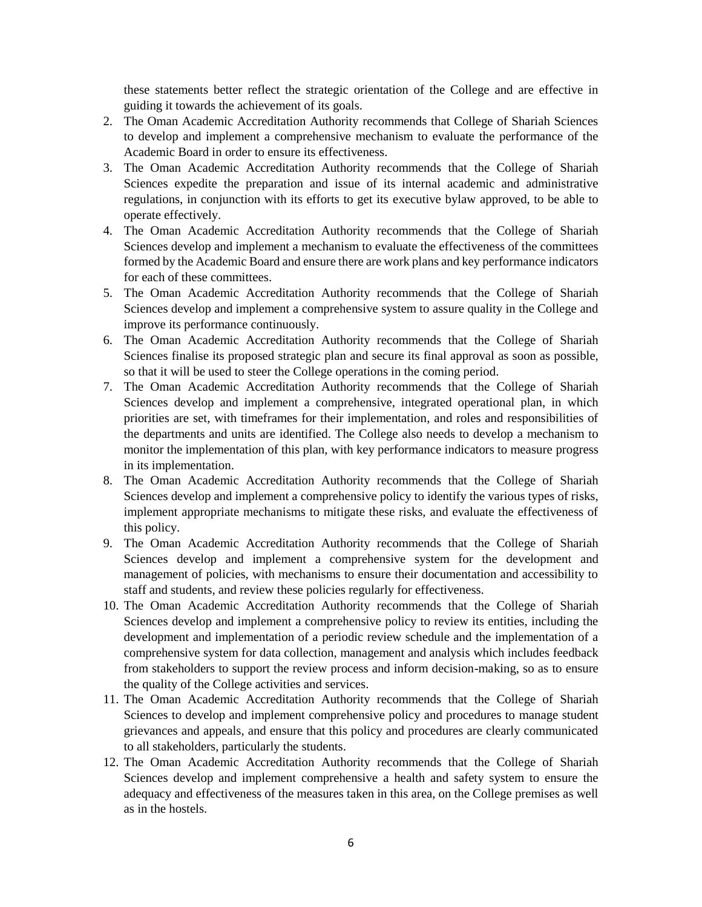these statements better reflect the strategic orientation of the College and are effective in guiding it towards the achievement of its goals.

- 2. The Oman Academic Accreditation Authority recommends that College of Shariah Sciences to develop and implement a comprehensive mechanism to evaluate the performance of the Academic Board in order to ensure its effectiveness.
- 3. The Oman Academic Accreditation Authority recommends that the College of Shariah Sciences expedite the preparation and issue of its internal academic and administrative regulations, in conjunction with its efforts to get its executive bylaw approved, to be able to operate effectively.
- 4. The Oman Academic Accreditation Authority recommends that the College of Shariah Sciences develop and implement a mechanism to evaluate the effectiveness of the committees formed by the Academic Board and ensure there are work plans and key performance indicators for each of these committees.
- 5. The Oman Academic Accreditation Authority recommends that the College of Shariah Sciences develop and implement a comprehensive system to assure quality in the College and improve its performance continuously.
- 6. The Oman Academic Accreditation Authority recommends that the College of Shariah Sciences finalise its proposed strategic plan and secure its final approval as soon as possible, so that it will be used to steer the College operations in the coming period.
- 7. The Oman Academic Accreditation Authority recommends that the College of Shariah Sciences develop and implement a comprehensive, integrated operational plan, in which priorities are set, with timeframes for their implementation, and roles and responsibilities of the departments and units are identified. The College also needs to develop a mechanism to monitor the implementation of this plan, with key performance indicators to measure progress in its implementation.
- 8. The Oman Academic Accreditation Authority recommends that the College of Shariah Sciences develop and implement a comprehensive policy to identify the various types of risks, implement appropriate mechanisms to mitigate these risks, and evaluate the effectiveness of this policy.
- 9. The Oman Academic Accreditation Authority recommends that the College of Shariah Sciences develop and implement a comprehensive system for the development and management of policies, with mechanisms to ensure their documentation and accessibility to staff and students, and review these policies regularly for effectiveness.
- 10. The Oman Academic Accreditation Authority recommends that the College of Shariah Sciences develop and implement a comprehensive policy to review its entities, including the development and implementation of a periodic review schedule and the implementation of a comprehensive system for data collection, management and analysis which includes feedback from stakeholders to support the review process and inform decision-making, so as to ensure the quality of the College activities and services.
- 11. The Oman Academic Accreditation Authority recommends that the College of Shariah Sciences to develop and implement comprehensive policy and procedures to manage student grievances and appeals, and ensure that this policy and procedures are clearly communicated to all stakeholders, particularly the students.
- 12. The Oman Academic Accreditation Authority recommends that the College of Shariah Sciences develop and implement comprehensive a health and safety system to ensure the adequacy and effectiveness of the measures taken in this area, on the College premises as well as in the hostels.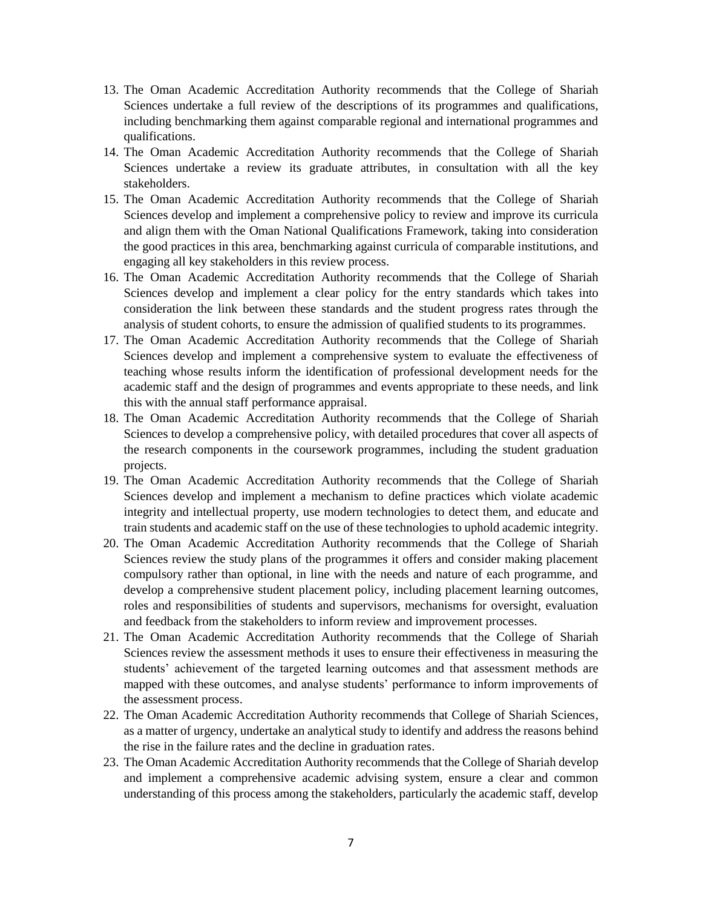- 13. The Oman Academic Accreditation Authority recommends that the College of Shariah Sciences undertake a full review of the descriptions of its programmes and qualifications, including benchmarking them against comparable regional and international programmes and qualifications.
- 14. The Oman Academic Accreditation Authority recommends that the College of Shariah Sciences undertake a review its graduate attributes, in consultation with all the key stakeholders.
- 15. The Oman Academic Accreditation Authority recommends that the College of Shariah Sciences develop and implement a comprehensive policy to review and improve its curricula and align them with the Oman National Qualifications Framework, taking into consideration the good practices in this area, benchmarking against curricula of comparable institutions, and engaging all key stakeholders in this review process.
- 16. The Oman Academic Accreditation Authority recommends that the College of Shariah Sciences develop and implement a clear policy for the entry standards which takes into consideration the link between these standards and the student progress rates through the analysis of student cohorts, to ensure the admission of qualified students to its programmes.
- 17. The Oman Academic Accreditation Authority recommends that the College of Shariah Sciences develop and implement a comprehensive system to evaluate the effectiveness of teaching whose results inform the identification of professional development needs for the academic staff and the design of programmes and events appropriate to these needs, and link this with the annual staff performance appraisal.
- 18. The Oman Academic Accreditation Authority recommends that the College of Shariah Sciences to develop a comprehensive policy, with detailed procedures that cover all aspects of the research components in the coursework programmes, including the student graduation projects.
- 19. The Oman Academic Accreditation Authority recommends that the College of Shariah Sciences develop and implement a mechanism to define practices which violate academic integrity and intellectual property, use modern technologies to detect them, and educate and train students and academic staff on the use of these technologies to uphold academic integrity.
- 20. The Oman Academic Accreditation Authority recommends that the College of Shariah Sciences review the study plans of the programmes it offers and consider making placement compulsory rather than optional, in line with the needs and nature of each programme, and develop a comprehensive student placement policy, including placement learning outcomes, roles and responsibilities of students and supervisors, mechanisms for oversight, evaluation and feedback from the stakeholders to inform review and improvement processes.
- 21. The Oman Academic Accreditation Authority recommends that the College of Shariah Sciences review the assessment methods it uses to ensure their effectiveness in measuring the students' achievement of the targeted learning outcomes and that assessment methods are mapped with these outcomes, and analyse students' performance to inform improvements of the assessment process.
- 22. The Oman Academic Accreditation Authority recommends that College of Shariah Sciences, as a matter of urgency, undertake an analytical study to identify and address the reasons behind the rise in the failure rates and the decline in graduation rates.
- 23. The Oman Academic Accreditation Authority recommends that the College of Shariah develop and implement a comprehensive academic advising system, ensure a clear and common understanding of this process among the stakeholders, particularly the academic staff, develop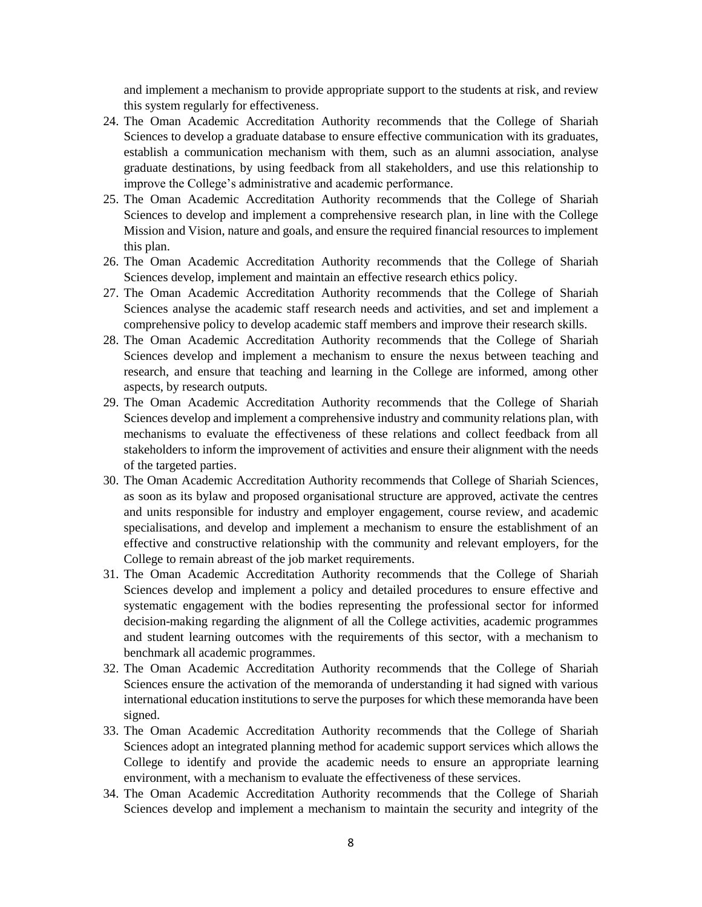and implement a mechanism to provide appropriate support to the students at risk, and review this system regularly for effectiveness.

- 24. The Oman Academic Accreditation Authority recommends that the College of Shariah Sciences to develop a graduate database to ensure effective communication with its graduates, establish a communication mechanism with them, such as an alumni association, analyse graduate destinations, by using feedback from all stakeholders, and use this relationship to improve the College's administrative and academic performance.
- 25. The Oman Academic Accreditation Authority recommends that the College of Shariah Sciences to develop and implement a comprehensive research plan, in line with the College Mission and Vision, nature and goals, and ensure the required financial resources to implement this plan.
- 26. The Oman Academic Accreditation Authority recommends that the College of Shariah Sciences develop, implement and maintain an effective research ethics policy.
- 27. The Oman Academic Accreditation Authority recommends that the College of Shariah Sciences analyse the academic staff research needs and activities, and set and implement a comprehensive policy to develop academic staff members and improve their research skills.
- 28. The Oman Academic Accreditation Authority recommends that the College of Shariah Sciences develop and implement a mechanism to ensure the nexus between teaching and research, and ensure that teaching and learning in the College are informed, among other aspects, by research outputs.
- 29. The Oman Academic Accreditation Authority recommends that the College of Shariah Sciences develop and implement a comprehensive industry and community relations plan, with mechanisms to evaluate the effectiveness of these relations and collect feedback from all stakeholders to inform the improvement of activities and ensure their alignment with the needs of the targeted parties.
- 30. The Oman Academic Accreditation Authority recommends that College of Shariah Sciences, as soon as its bylaw and proposed organisational structure are approved, activate the centres and units responsible for industry and employer engagement, course review, and academic specialisations, and develop and implement a mechanism to ensure the establishment of an effective and constructive relationship with the community and relevant employers, for the College to remain abreast of the job market requirements.
- 31. The Oman Academic Accreditation Authority recommends that the College of Shariah Sciences develop and implement a policy and detailed procedures to ensure effective and systematic engagement with the bodies representing the professional sector for informed decision-making regarding the alignment of all the College activities, academic programmes and student learning outcomes with the requirements of this sector, with a mechanism to benchmark all academic programmes.
- 32. The Oman Academic Accreditation Authority recommends that the College of Shariah Sciences ensure the activation of the memoranda of understanding it had signed with various international education institutions to serve the purposes for which these memoranda have been signed.
- 33. The Oman Academic Accreditation Authority recommends that the College of Shariah Sciences adopt an integrated planning method for academic support services which allows the College to identify and provide the academic needs to ensure an appropriate learning environment, with a mechanism to evaluate the effectiveness of these services.
- 34. The Oman Academic Accreditation Authority recommends that the College of Shariah Sciences develop and implement a mechanism to maintain the security and integrity of the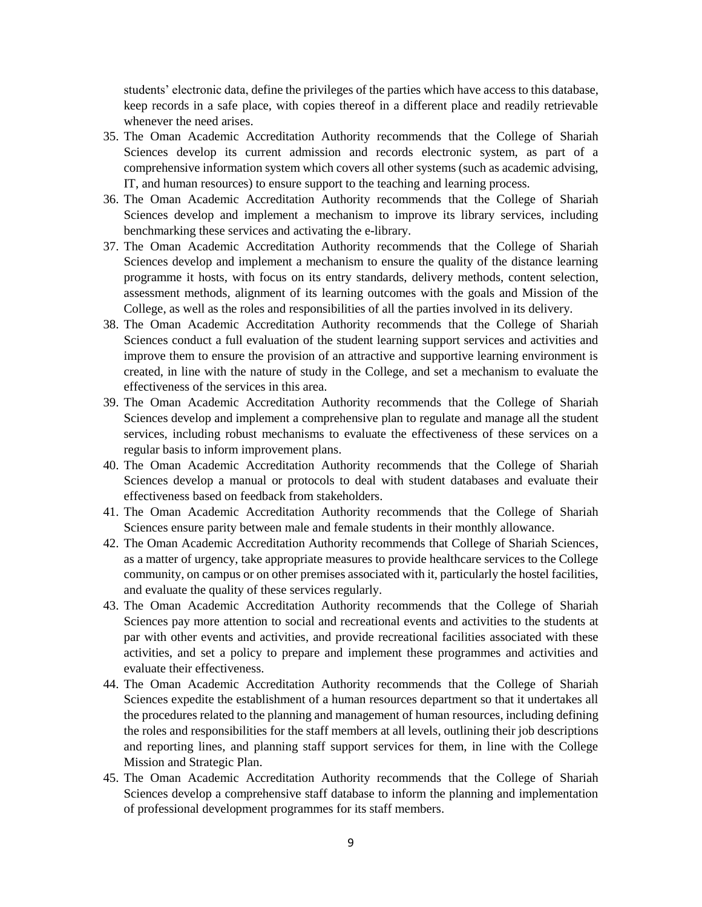students' electronic data, define the privileges of the parties which have access to this database, keep records in a safe place, with copies thereof in a different place and readily retrievable whenever the need arises.

- 35. The Oman Academic Accreditation Authority recommends that the College of Shariah Sciences develop its current admission and records electronic system, as part of a comprehensive information system which covers all other systems (such as academic advising, IT, and human resources) to ensure support to the teaching and learning process.
- 36. The Oman Academic Accreditation Authority recommends that the College of Shariah Sciences develop and implement a mechanism to improve its library services, including benchmarking these services and activating the e-library.
- 37. The Oman Academic Accreditation Authority recommends that the College of Shariah Sciences develop and implement a mechanism to ensure the quality of the distance learning programme it hosts, with focus on its entry standards, delivery methods, content selection, assessment methods, alignment of its learning outcomes with the goals and Mission of the College, as well as the roles and responsibilities of all the parties involved in its delivery.
- 38. The Oman Academic Accreditation Authority recommends that the College of Shariah Sciences conduct a full evaluation of the student learning support services and activities and improve them to ensure the provision of an attractive and supportive learning environment is created, in line with the nature of study in the College, and set a mechanism to evaluate the effectiveness of the services in this area.
- 39. The Oman Academic Accreditation Authority recommends that the College of Shariah Sciences develop and implement a comprehensive plan to regulate and manage all the student services, including robust mechanisms to evaluate the effectiveness of these services on a regular basis to inform improvement plans.
- 40. The Oman Academic Accreditation Authority recommends that the College of Shariah Sciences develop a manual or protocols to deal with student databases and evaluate their effectiveness based on feedback from stakeholders.
- 41. The Oman Academic Accreditation Authority recommends that the College of Shariah Sciences ensure parity between male and female students in their monthly allowance.
- 42. The Oman Academic Accreditation Authority recommends that College of Shariah Sciences, as a matter of urgency, take appropriate measures to provide healthcare services to the College community, on campus or on other premises associated with it, particularly the hostel facilities, and evaluate the quality of these services regularly.
- 43. The Oman Academic Accreditation Authority recommends that the College of Shariah Sciences pay more attention to social and recreational events and activities to the students at par with other events and activities, and provide recreational facilities associated with these activities, and set a policy to prepare and implement these programmes and activities and evaluate their effectiveness.
- 44. The Oman Academic Accreditation Authority recommends that the College of Shariah Sciences expedite the establishment of a human resources department so that it undertakes all the procedures related to the planning and management of human resources, including defining the roles and responsibilities for the staff members at all levels, outlining their job descriptions and reporting lines, and planning staff support services for them, in line with the College Mission and Strategic Plan.
- 45. The Oman Academic Accreditation Authority recommends that the College of Shariah Sciences develop a comprehensive staff database to inform the planning and implementation of professional development programmes for its staff members.